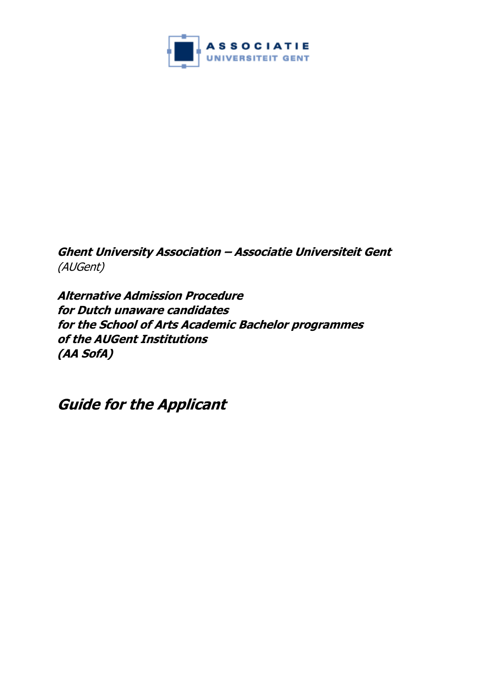

**Ghent University Association – Associatie Universiteit Gent**  (AUGent)

**Alternative Admission Procedure for Dutch unaware candidates for the School of Arts Academic Bachelor programmes of the AUGent Institutions (AA SofA)**

<span id="page-0-0"></span>**Guide for the Applicant**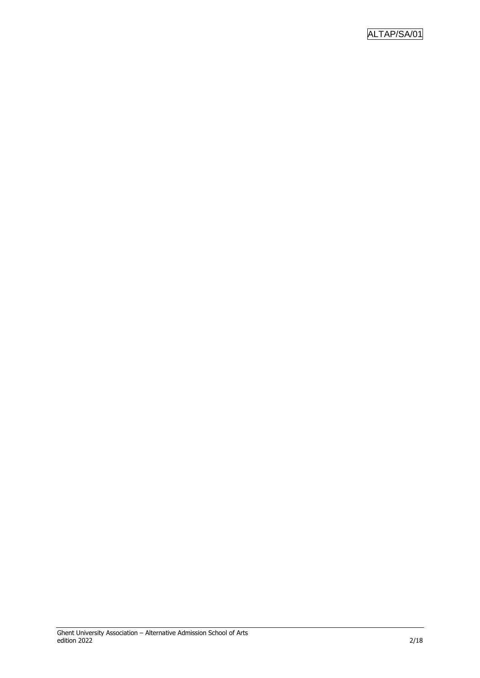## ALTAP/SA/01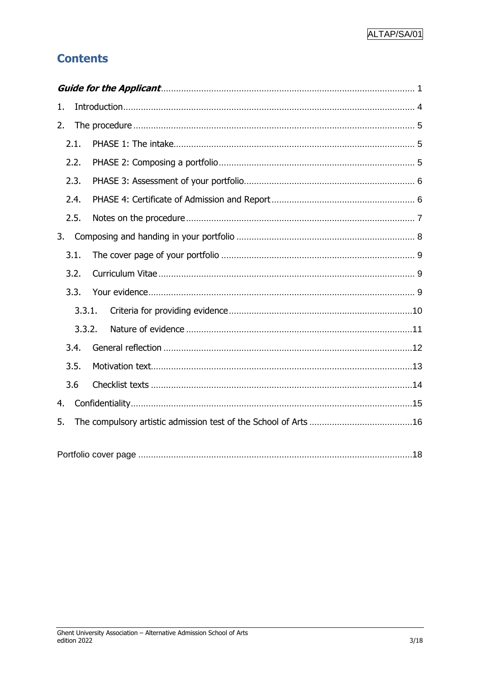# **Contents**

| 1.     |  |
|--------|--|
| 2.     |  |
| 2.1.   |  |
| 2.2.   |  |
| 2.3.   |  |
| 2.4.   |  |
| 2.5.   |  |
| 3.     |  |
| 3.1.   |  |
| 3.2.   |  |
| 3.3.   |  |
| 3.3.1. |  |
| 3.3.2. |  |
| 3.4.   |  |
| 3.5.   |  |
| 3.6    |  |
| 4.     |  |
| 5.     |  |
|        |  |
|        |  |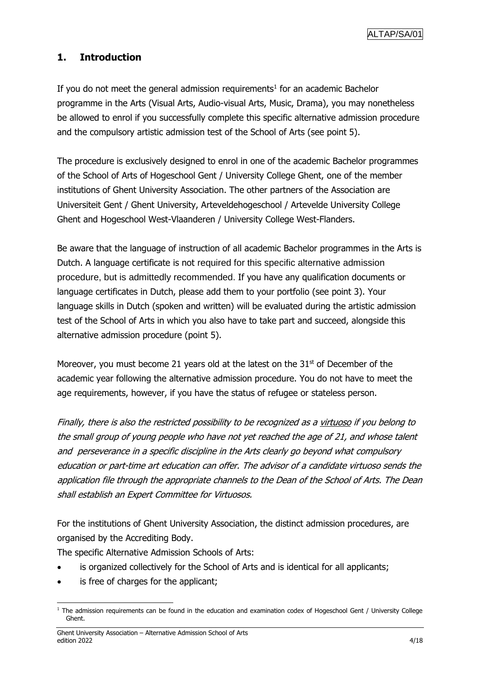## <span id="page-3-0"></span>**1. Introduction**

If you do not meet the general admission requirements<sup>1</sup> for an academic Bachelor programme in the Arts (Visual Arts, Audio-visual Arts, Music, Drama), you may nonetheless be allowed to enrol if you successfully complete this specific alternative admission procedure and the compulsory artistic admission test of the School of Arts (see point 5).

The procedure is exclusively designed to enrol in one of the academic Bachelor programmes of the School of Arts of Hogeschool Gent / University College Ghent, one of the member institutions of Ghent University Association. The other partners of the Association are Universiteit Gent / Ghent University, Arteveldehogeschool / Artevelde University College Ghent and Hogeschool West-Vlaanderen / University College West-Flanders.

Be aware that the language of instruction of all academic Bachelor programmes in the Arts is Dutch. A language certificate is not required for this specific alternative admission procedure, but is admittedly recommended. If you have any qualification documents or language certificates in Dutch, please add them to your portfolio (see point 3). Your language skills in Dutch (spoken and written) will be evaluated during the artistic admission test of the School of Arts in which you also have to take part and succeed, alongside this alternative admission procedure (point 5).

Moreover, you must become 21 years old at the latest on the  $31<sup>st</sup>$  of December of the academic year following the alternative admission procedure. You do not have to meet the age requirements, however, if you have the status of refugee or stateless person.

Finally, there is also the restricted possibility to be recognized as a virtuoso if you belong to the small group of young people who have not yet reached the age of 21, and whose talent and perseverance in a specific discipline in the Arts clearly go beyond what compulsory education or part-time art education can offer. The advisor of a candidate virtuoso sends the application file through the appropriate channels to the Dean of the School of Arts. The Dean shall establish an Expert Committee for Virtuosos.

For the institutions of Ghent University Association, the distinct admission procedures, are organised by the Accrediting Body.

The specific Alternative Admission Schools of Arts:

- is organized collectively for the School of Arts and is identical for all applicants;
- is free of charges for the applicant;

 <sup>1</sup> The admission requirements can be found in the education and examination codex of Hogeschool Gent / University College Ghent.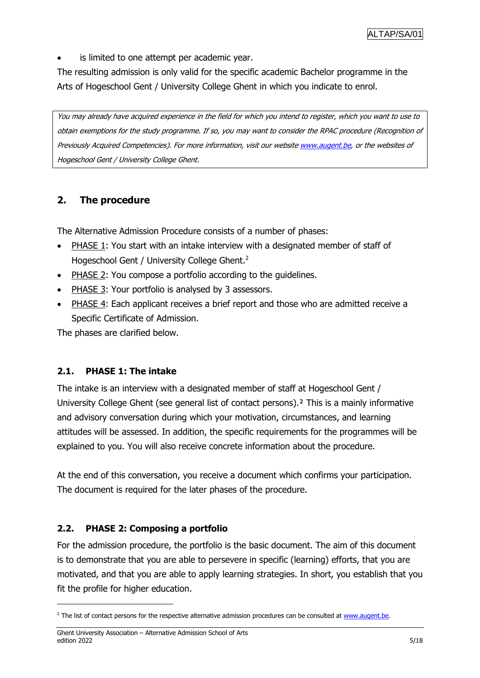is limited to one attempt per academic year.

The resulting admission is only valid for the specific academic Bachelor programme in the Arts of Hogeschool Gent / University College Ghent in which you indicate to enrol.

You may already have acquired experience in the field for which you intend to register, which you want to use to obtain exemptions for the study programme. If so, you may want to consider the RPAC procedure (Recognition of Previously Acquired Competencies). For more information, visit our website [www.augent.](http://www.augent.be/)be, or the websites of Hogeschool Gent / University College Ghent.

## <span id="page-4-0"></span>**2. The procedure**

The Alternative Admission Procedure consists of a number of phases:

- PHASE 1: You start with an intake interview with a designated member of staff of Hogeschool Gent / University College Ghent. 2
- PHASE 2: You compose a portfolio according to the guidelines.
- PHASE 3: Your portfolio is analysed by 3 assessors.
- PHASE 4: Each applicant receives a brief report and those who are admitted receive a Specific Certificate of Admission.

The phases are clarified below.

## <span id="page-4-1"></span>**2.1. PHASE 1: The intake**

The intake is an interview with a designated member of staff at Hogeschool Gent / University College Ghent (see general list of contact persons).² This is a mainly informative and advisory conversation during which your motivation, circumstances, and learning attitudes will be assessed. In addition, the specific requirements for the programmes will be explained to you. You will also receive concrete information about the procedure.

At the end of this conversation, you receive a document which confirms your participation. The document is required for the later phases of the procedure.

## <span id="page-4-2"></span>**2.2. PHASE 2: Composing a portfolio**

For the admission procedure, the portfolio is the basic document. The aim of this document is to demonstrate that you are able to persevere in specific (learning) efforts, that you are motivated, and that you are able to apply learning strategies. In short, you establish that you fit the profile for higher education.

<sup>&</sup>lt;sup>2</sup> The list of contact persons for the respective alternative admission procedures can be consulted a[t www.augent.be.](http://www.augent.be/)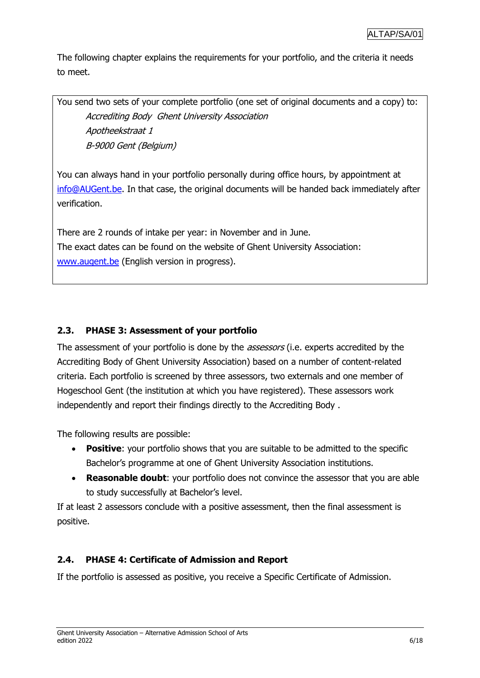The following chapter explains the requirements for your portfolio, and the criteria it needs to meet.

You send two sets of your complete portfolio (one set of original documents and a copy) to: Accrediting Body Ghent University Association Apotheekstraat 1 B-9000 Gent (Belgium)

You can always hand in your portfolio personally during office hours, by appointment at [info@AUGent.be.](mailto:info@AUGent.be) In that case, the original documents will be handed back immediately after verification.

There are 2 rounds of intake per year: in November and in June. The exact dates can be found on the website of Ghent University Association: [www.augent.be](http://www.augent.be/) (English version in progress).

## <span id="page-5-0"></span>**2.3. PHASE 3: Assessment of your portfolio**

The assessment of your portfolio is done by the *assessors* (i.e. experts accredited by the Accrediting Body of Ghent University Association) based on a number of content-related criteria. Each portfolio is screened by three assessors, two externals and one member of Hogeschool Gent (the institution at which you have registered). These assessors work independently and report their findings directly to the Accrediting Body .

The following results are possible:

- **Positive**: your portfolio shows that you are suitable to be admitted to the specific Bachelor's programme at one of Ghent University Association institutions.
- **Reasonable doubt**: your portfolio does not convince the assessor that you are able to study successfully at Bachelor's level.

If at least 2 assessors conclude with a positive assessment, then the final assessment is positive.

## <span id="page-5-1"></span>**2.4. PHASE 4: Certificate of Admission and Report**

If the portfolio is assessed as positive, you receive a Specific Certificate of Admission.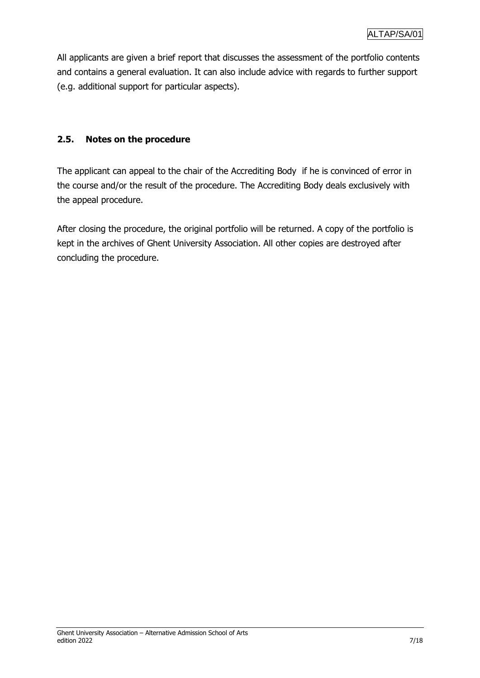All applicants are given a brief report that discusses the assessment of the portfolio contents and contains a general evaluation. It can also include advice with regards to further support (e.g. additional support for particular aspects).

### <span id="page-6-0"></span>**2.5. Notes on the procedure**

The applicant can appeal to the chair of the Accrediting Body if he is convinced of error in the course and/or the result of the procedure. The Accrediting Body deals exclusively with the appeal procedure.

After closing the procedure, the original portfolio will be returned. A copy of the portfolio is kept in the archives of Ghent University Association. All other copies are destroyed after concluding the procedure.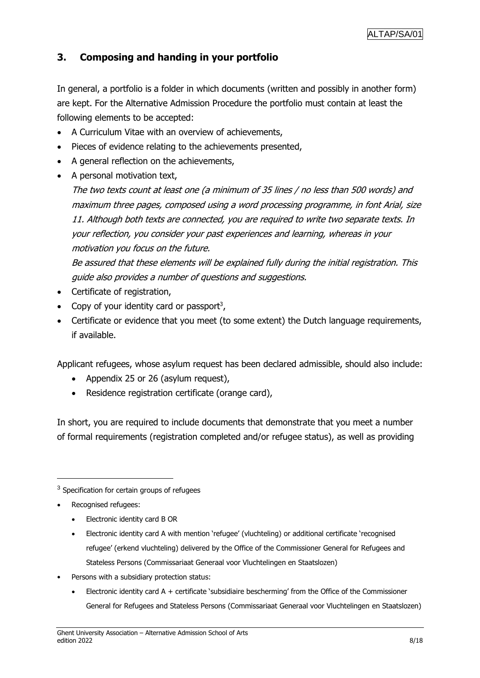## <span id="page-7-0"></span>**3. Composing and handing in your portfolio**

In general, a portfolio is a folder in which documents (written and possibly in another form) are kept. For the Alternative Admission Procedure the portfolio must contain at least the following elements to be accepted:

- A Curriculum Vitae with an overview of achievements,
- Pieces of evidence relating to the achievements presented,
- A general reflection on the achievements,
- A personal motivation text,

The two texts count at least one (a minimum of 35 lines / no less than 500 words) and maximum three pages, composed using a word processing programme, in font Arial, size 11. Although both texts are connected, you are required to write two separate texts. In your reflection, you consider your past experiences and learning, whereas in your motivation you focus on the future.

Be assured that these elements will be explained fully during the initial registration. This guide also provides a number of questions and suggestions.

- Certificate of registration,
- Copy of your identity card or passport<sup>3</sup>,
- Certificate or evidence that you meet (to some extent) the Dutch language requirements, if available.

Applicant refugees, whose asylum request has been declared admissible, should also include:

- Appendix 25 or 26 (asylum request),
- Residence registration certificate (orange card),

In short, you are required to include documents that demonstrate that you meet a number of formal requirements (registration completed and/or refugee status), as well as providing

 $^3$  Specification for certain groups of refugees

Recognised refugees:

 $\overline{a}$ 

- Electronic identity card B OR
- Electronic identity card A with mention 'refugee' (vluchteling) or additional certificate 'recognised refugee' (erkend vluchteling) delivered by the Office of the Commissioner General for Refugees and Stateless Persons (Commissariaat Generaal voor Vluchtelingen en Staatslozen)
- Persons with a subsidiary protection status:
	- Electronic identity card A + certificate 'subsidiaire bescherming' from the Office of the Commissioner General for Refugees and Stateless Persons (Commissariaat Generaal voor Vluchtelingen en Staatslozen)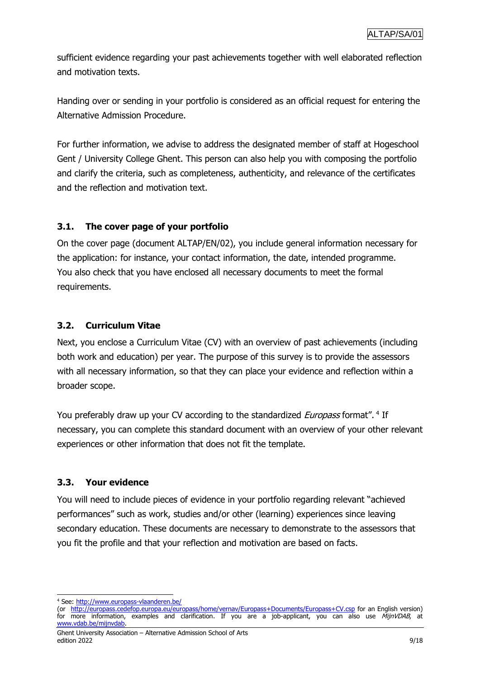sufficient evidence regarding your past achievements together with well elaborated reflection and motivation texts.

Handing over or sending in your portfolio is considered as an official request for entering the Alternative Admission Procedure.

For further information, we advise to address the designated member of staff at Hogeschool Gent / University College Ghent. This person can also help you with composing the portfolio and clarify the criteria, such as completeness, authenticity, and relevance of the certificates and the reflection and motivation text.

## <span id="page-8-0"></span>**3.1. The cover page of your portfolio**

On the cover page (document ALTAP/EN/02), you include general information necessary for the application: for instance, your contact information, the date, intended programme. You also check that you have enclosed all necessary documents to meet the formal requirements.

### <span id="page-8-1"></span>**3.2. Curriculum Vitae**

Next, you enclose a Curriculum Vitae (CV) with an overview of past achievements (including both work and education) per year. The purpose of this survey is to provide the assessors with all necessary information, so that they can place your evidence and reflection within a broader scope.

You preferably draw up your CV according to the standardized *Europass* format". <sup>4</sup> If necessary, you can complete this standard document with an overview of your other relevant experiences or other information that does not fit the template.

### <span id="page-8-2"></span>**3.3. Your evidence**

You will need to include pieces of evidence in your portfolio regarding relevant "achieved performances" such as work, studies and/or other (learning) experiences since leaving secondary education. These documents are necessary to demonstrate to the assessors that you fit the profile and that your reflection and motivation are based on facts.

 <sup>4</sup> See:<http://www.europass-vlaanderen.be/>

<sup>(</sup>or <http://europass.cedefop.europa.eu/europass/home/vernav/Europass+Documents/Europass+CV.csp> for an English version) for more information, examples and clarification. If you are a job-applicant, you can also use MijnVDAB, at [www.vdab.be/mijnvdab.](http://www.vdab.be/mijnvdab)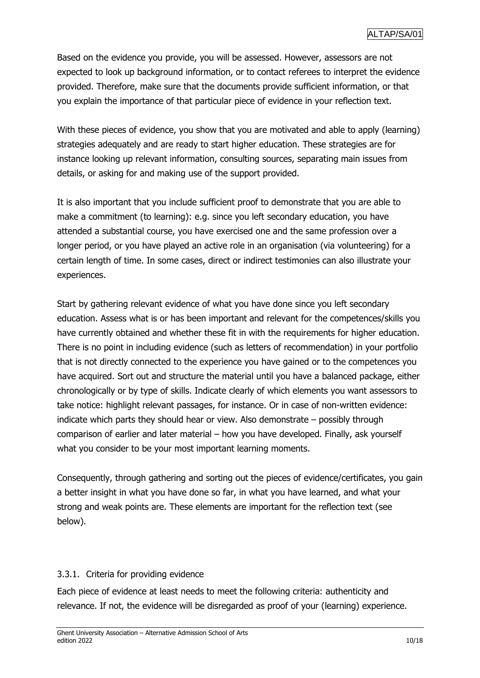### ALTAP/SA/01

Based on the evidence you provide, you will be assessed. However, assessors are not expected to look up background information, or to contact referees to interpret the evidence provided. Therefore, make sure that the documents provide sufficient information, or that you explain the importance of that particular piece of evidence in your reflection text.

With these pieces of evidence, you show that you are motivated and able to apply (learning) strategies adequately and are ready to start higher education. These strategies are for instance looking up relevant information, consulting sources, separating main issues from details, or asking for and making use of the support provided.

It is also important that you include sufficient proof to demonstrate that you are able to make a commitment (to learning): e.g. since you left secondary education, you have attended a substantial course, you have exercised one and the same profession over a longer period, or you have played an active role in an organisation (via volunteering) for a certain length of time. In some cases, direct or indirect testimonies can also illustrate your experiences.

Start by gathering relevant evidence of what you have done since you left secondary education. Assess what is or has been important and relevant for the competences/skills you have currently obtained and whether these fit in with the requirements for higher education. There is no point in including evidence (such as letters of recommendation) in your portfolio that is not directly connected to the experience you have gained or to the competences you have acquired. Sort out and structure the material until you have a balanced package, either chronologically or by type of skills. Indicate clearly of which elements you want assessors to take notice: highlight relevant passages, for instance. Or in case of non-written evidence: indicate which parts they should hear or view. Also demonstrate – possibly through comparison of earlier and later material – how you have developed. Finally, ask yourself what you consider to be your most important learning moments.

Consequently, through gathering and sorting out the pieces of evidence/certificates, you gain a better insight in what you have done so far, in what you have learned, and what your strong and weak points are. These elements are important for the reflection text (see below).

### <span id="page-9-0"></span>3.3.1. Criteria for providing evidence

Each piece of evidence at least needs to meet the following criteria: authenticity and relevance. If not, the evidence will be disregarded as proof of your (learning) experience.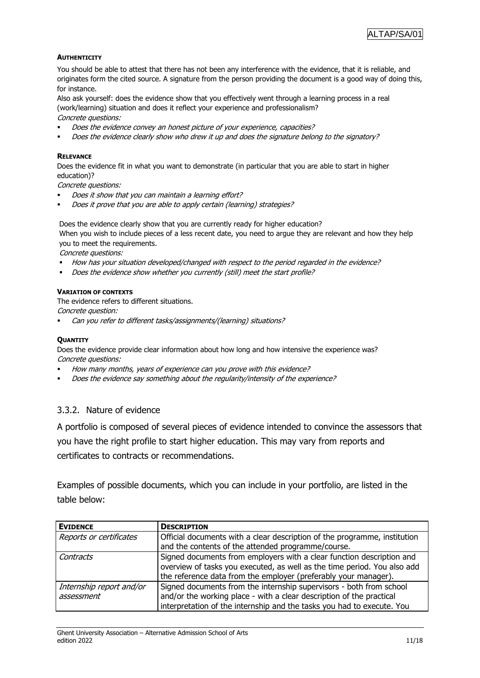#### **AUTHENTICITY**

You should be able to attest that there has not been any interference with the evidence, that it is reliable, and originates form the cited source. A signature from the person providing the document is a good way of doing this, for instance.

Also ask yourself: does the evidence show that you effectively went through a learning process in a real (work/learning) situation and does it reflect your experience and professionalism?

Concrete questions:

- Does the evidence convey an honest picture of your experience, capacities?
- Does the evidence clearly show who drew it up and does the signature belong to the signatory?

#### **RELEVANCE**

Does the evidence fit in what you want to demonstrate (in particular that you are able to start in higher education)?

Concrete questions:

- Does it show that you can maintain a learning effort?
- Does it prove that you are able to apply certain (learning) strategies?

Does the evidence clearly show that you are currently ready for higher education? When you wish to include pieces of a less recent date, you need to argue they are relevant and how they help you to meet the requirements.

Concrete questions:

- How has your situation developed/changed with respect to the period regarded in the evidence?
- Does the evidence show whether you currently (still) meet the start profile?

#### **VARIATION OF CONTEXTS**

The evidence refers to different situations.

Concrete question:

Can you refer to different tasks/assignments/(learning) situations?

#### **QUANTITY**

Does the evidence provide clear information about how long and how intensive the experience was? Concrete questions:

- How many months, years of experience can you prove with this evidence?
- Does the evidence say something about the regularity/intensity of the experience?

#### <span id="page-10-0"></span>3.3.2. Nature of evidence

A portfolio is composed of several pieces of evidence intended to convince the assessors that you have the right profile to start higher education. This may vary from reports and certificates to contracts or recommendations.

Examples of possible documents, which you can include in your portfolio, are listed in the table below:

| <b>EVIDENCE</b>          | <b>DESCRIPTION</b>                                                        |
|--------------------------|---------------------------------------------------------------------------|
| Reports or certificates  | Official documents with a clear description of the programme, institution |
|                          | and the contents of the attended programme/course.                        |
| Contracts                | Signed documents from employers with a clear function description and     |
|                          | overview of tasks you executed, as well as the time period. You also add  |
|                          | the reference data from the employer (preferably your manager).           |
| Internship report and/or | Signed documents from the internship supervisors - both from school       |
| assessment               | and/or the working place - with a clear description of the practical      |
|                          | interpretation of the internship and the tasks you had to execute. You    |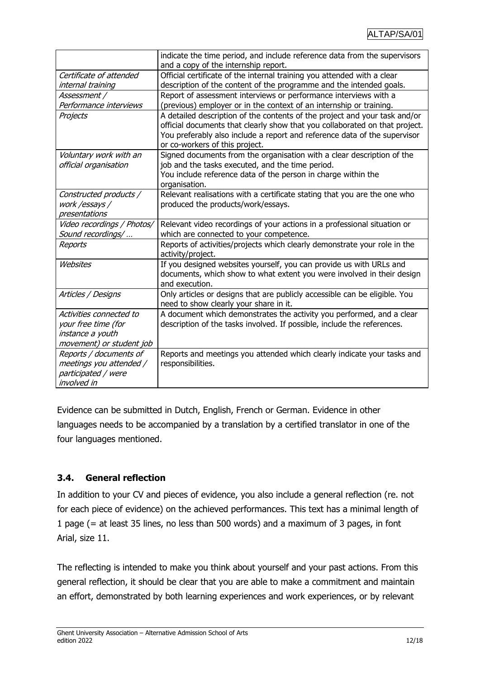|                            | indicate the time period, and include reference data from the supervisors<br>and a copy of the internship report. |
|----------------------------|-------------------------------------------------------------------------------------------------------------------|
| Certificate of attended    | Official certificate of the internal training you attended with a clear                                           |
| internal training          | description of the content of the programme and the intended goals.                                               |
| Assessment /               | Report of assessment interviews or performance interviews with a                                                  |
|                            |                                                                                                                   |
| Performance interviews     | (previous) employer or in the context of an internship or training.                                               |
| Projects                   | A detailed description of the contents of the project and your task and/or                                        |
|                            | official documents that clearly show that you collaborated on that project.                                       |
|                            | You preferably also include a report and reference data of the supervisor                                         |
|                            | or co-workers of this project.                                                                                    |
| Voluntary work with an     | Signed documents from the organisation with a clear description of the                                            |
| official organisation      | job and the tasks executed, and the time period.                                                                  |
|                            | You include reference data of the person in charge within the                                                     |
|                            | organisation.                                                                                                     |
| Constructed products /     | Relevant realisations with a certificate stating that you are the one who                                         |
| work /essays /             | produced the products/work/essays.                                                                                |
| presentations              |                                                                                                                   |
| Video recordings / Photos/ | Relevant video recordings of your actions in a professional situation or                                          |
| Sound recordings/          | which are connected to your competence.                                                                           |
| Reports                    | Reports of activities/projects which clearly demonstrate your role in the                                         |
|                            | activity/project.                                                                                                 |
| Websites                   | If you designed websites yourself, you can provide us with URLs and                                               |
|                            | documents, which show to what extent you were involved in their design                                            |
|                            | and execution.                                                                                                    |
| Articles / Designs         | Only articles or designs that are publicly accessible can be eligible. You                                        |
|                            | need to show clearly your share in it.                                                                            |
| Activities connected to    |                                                                                                                   |
|                            | A document which demonstrates the activity you performed, and a clear                                             |
| your free time (for        | description of the tasks involved. If possible, include the references.                                           |
| instance a youth           |                                                                                                                   |
| movement) or student job   |                                                                                                                   |
| Reports / documents of     | Reports and meetings you attended which clearly indicate your tasks and                                           |
| meetings you attended /    | responsibilities.                                                                                                 |
| participated / were        |                                                                                                                   |
| involved in                |                                                                                                                   |

Evidence can be submitted in Dutch, English, French or German. Evidence in other languages needs to be accompanied by a translation by a certified translator in one of the four languages mentioned.

## <span id="page-11-0"></span>**3.4. General reflection**

In addition to your CV and pieces of evidence, you also include a general reflection (re. not for each piece of evidence) on the achieved performances. This text has a minimal length of 1 page (= at least 35 lines, no less than 500 words) and a maximum of 3 pages, in font Arial, size 11.

The reflecting is intended to make you think about yourself and your past actions. From this general reflection, it should be clear that you are able to make a commitment and maintain an effort, demonstrated by both learning experiences and work experiences, or by relevant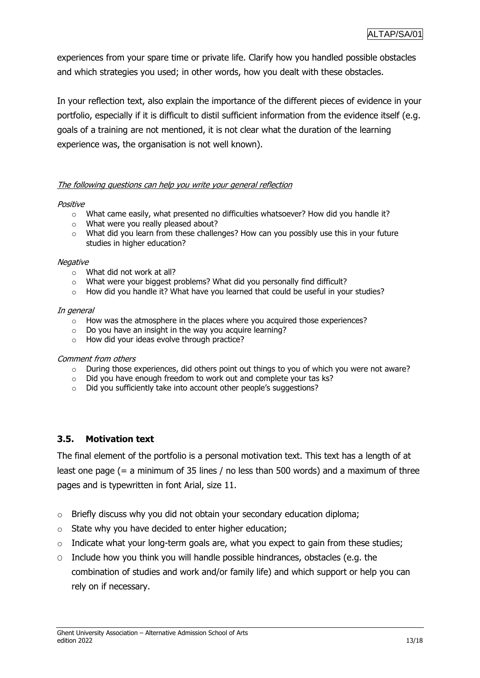experiences from your spare time or private life. Clarify how you handled possible obstacles and which strategies you used; in other words, how you dealt with these obstacles.

In your reflection text, also explain the importance of the different pieces of evidence in your portfolio, especially if it is difficult to distil sufficient information from the evidence itself (e.g. goals of a training are not mentioned, it is not clear what the duration of the learning experience was, the organisation is not well known).

### The following questions can help you write your general reflection

#### Positive

- $\circ$  What came easily, what presented no difficulties whatsoever? How did you handle it?
- o What were you really pleased about?
- o What did you learn from these challenges? How can you possibly use this in your future studies in higher education?

#### **Negative**

- o What did not work at all?
- o What were your biggest problems? What did you personally find difficult?
- $\circ$  How did you handle it? What have you learned that could be useful in your studies?

#### In general

- o How was the atmosphere in the places where you acquired those experiences?
- o Do you have an insight in the way you acquire learning?
- o How did your ideas evolve through practice?

#### Comment from others

- $\circ$  During those experiences, did others point out things to you of which you were not aware?
- o Did you have enough freedom to work out and complete your tas ks?
- o Did you sufficiently take into account other people's suggestions?

### <span id="page-12-0"></span>**3.5. Motivation text**

The final element of the portfolio is a personal motivation text. This text has a length of at least one page (= a minimum of 35 lines / no less than 500 words) and a maximum of three pages and is typewritten in font Arial, size 11.

- o Briefly discuss why you did not obtain your secondary education diploma;
- $\circ$  State why you have decided to enter higher education;
- $\circ$  Indicate what your long-term goals are, what you expect to gain from these studies;
- $\circ$  Include how you think you will handle possible hindrances, obstacles (e.g. the combination of studies and work and/or family life) and which support or help you can rely on if necessary.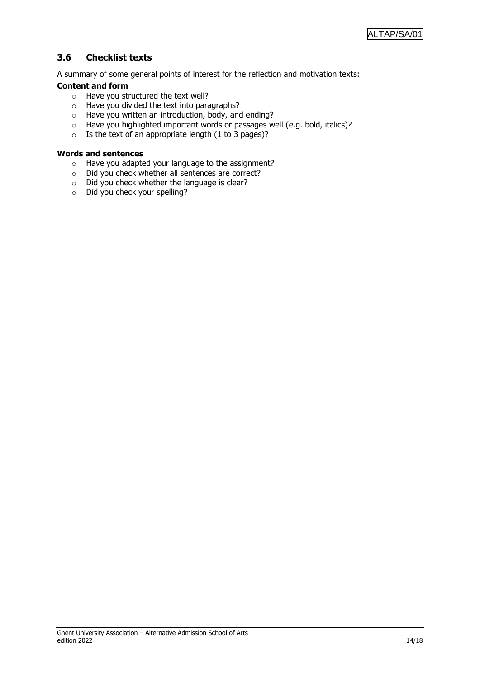### <span id="page-13-0"></span>**3.6 Checklist texts**

A summary of some general points of interest for the reflection and motivation texts:

#### **Content and form**

- o Have you structured the text well?
- o Have you divided the text into paragraphs?
- o Have you written an introduction, body, and ending?
- o Have you highlighted important words or passages well (e.g. bold, italics)?
- o Is the text of an appropriate length (1 to 3 pages)?

#### **Words and sentences**

- o Have you adapted your language to the assignment?
- o Did you check whether all sentences are correct?
- $\circ$  Did you check whether the language is clear?
- o Did you check your spelling?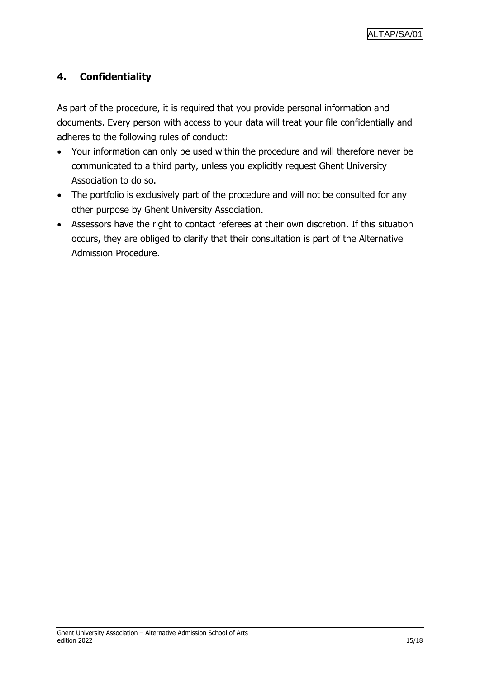## <span id="page-14-0"></span>**4. Confidentiality**

As part of the procedure, it is required that you provide personal information and documents. Every person with access to your data will treat your file confidentially and adheres to the following rules of conduct:

- Your information can only be used within the procedure and will therefore never be communicated to a third party, unless you explicitly request Ghent University Association to do so.
- The portfolio is exclusively part of the procedure and will not be consulted for any other purpose by Ghent University Association.
- Assessors have the right to contact referees at their own discretion. If this situation occurs, they are obliged to clarify that their consultation is part of the Alternative Admission Procedure.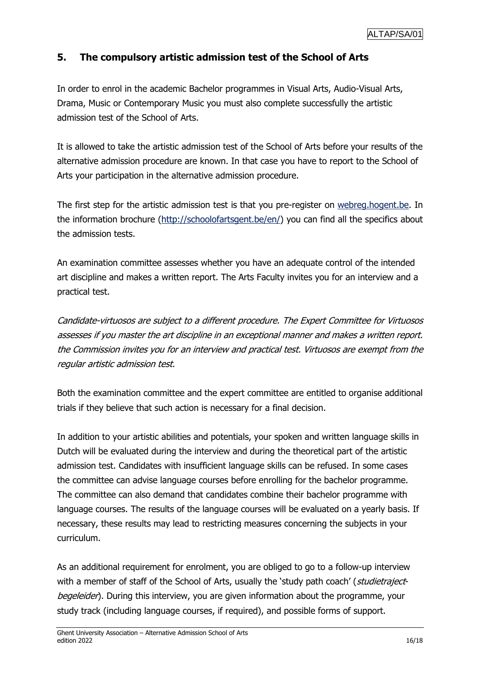## <span id="page-15-0"></span>**5. The compulsory artistic admission test of the School of Arts**

In order to enrol in the academic Bachelor programmes in Visual Arts, Audio-Visual Arts, Drama, Music or Contemporary Music you must also complete successfully the artistic admission test of the School of Arts.

It is allowed to take the artistic admission test of the School of Arts before your results of the alternative admission procedure are known. In that case you have to report to the School of Arts your participation in the alternative admission procedure.

The first step for the artistic admission test is that you pre-register on [webreg.hogent.be.](https://webreg.hogent.be/) In the information brochure [\(http://schoolofartsgent.be/en/\)](http://schoolofartsgent.be/en/) you can find all the specifics about the admission tests.

An examination committee assesses whether you have an adequate control of the intended art discipline and makes a written report. The Arts Faculty invites you for an interview and a practical test.

Candidate-virtuosos are subject to a different procedure. The Expert Committee for Virtuosos assesses if you master the art discipline in an exceptional manner and makes a written report. the Commission invites you for an interview and practical test. Virtuosos are exempt from the regular artistic admission test.

Both the examination committee and the expert committee are entitled to organise additional trials if they believe that such action is necessary for a final decision.

In addition to your artistic abilities and potentials, your spoken and written language skills in Dutch will be evaluated during the interview and during the theoretical part of the artistic admission test. Candidates with insufficient language skills can be refused. In some cases the committee can advise language courses before enrolling for the bachelor programme. The committee can also demand that candidates combine their bachelor programme with language courses. The results of the language courses will be evaluated on a yearly basis. If necessary, these results may lead to restricting measures concerning the subjects in your curriculum.

As an additional requirement for enrolment, you are obliged to go to a follow-up interview with a member of staff of the School of Arts, usually the 'study path coach' (studietrajectbegeleider). During this interview, you are given information about the programme, your study track (including language courses, if required), and possible forms of support.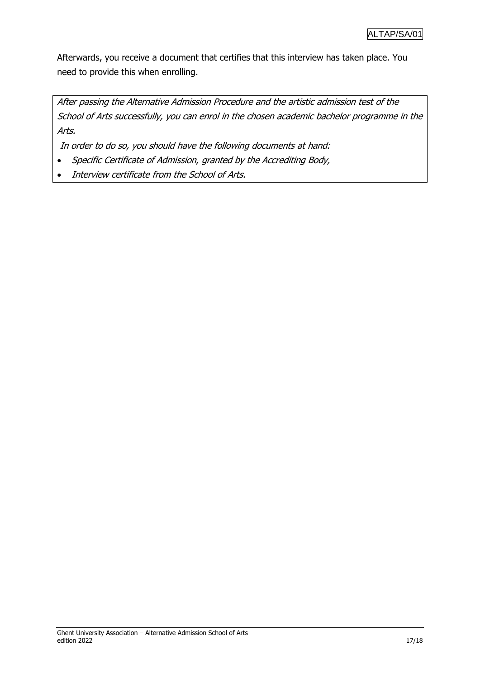Afterwards, you receive a document that certifies that this interview has taken place. You need to provide this when enrolling.

After passing the Alternative Admission Procedure and the artistic admission test of the School of Arts successfully, you can enrol in the chosen academic bachelor programme in the Arts.

In order to do so, you should have the following documents at hand:

- Specific Certificate of Admission, granted by the Accrediting Body,
- Interview certificate from the School of Arts.